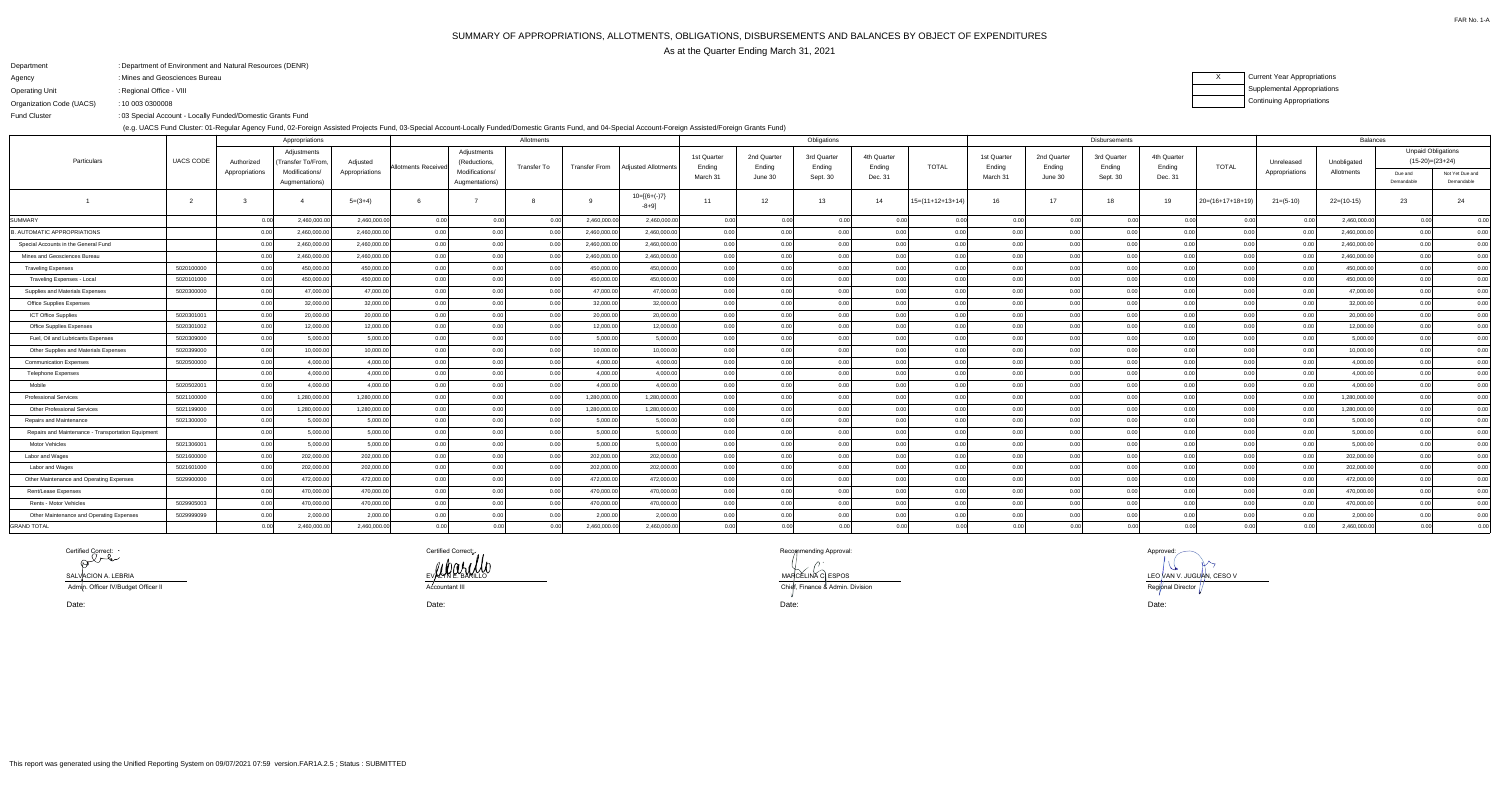# SUMMARY OF APPROPRIATIONS, ALLOTMENTS, OBLIGATIONS, DISBURSEMENTS AND BALANCES BY OBJECT OF EXPENDITURESAs at the Quarter Ending March 31, 2021

FAR No. 1-A

| Department               | : Department of Environment and Natural Resources (DENR)   |
|--------------------------|------------------------------------------------------------|
| Agency                   | : Mines and Geosciences Bureau                             |
| Operating Unit           | : Regional Office - VIII                                   |
| Organization Code (UACS) | : 10 003 0300008                                           |
| <b>Fund Cluster</b>      | : 03 Special Account - Locally Funded/Domestic Grants Fund |
|                          |                                                            |

(e.g. UACS Fund Cluster: 01-Regular Agency Fund, 02-Foreign Assisted Projects Fund, 03-Special Account-Locally Funded/Domestic Grants Fund, and 04-Special Account-Foreign Assisted/Foreign Grants Fund)

## XCurrent Year AppropriationsSupplemental AppropriationsContinuing Appropriations

|                                                    |               | Appropriations |                                  |                      |                     |                                  | Allotments  | Obligations          |                        |                       |                       |                       |                       |                    |                       |                       | <b>Balances</b>       |                       |                    |                |              |                                                |                               |
|----------------------------------------------------|---------------|----------------|----------------------------------|----------------------|---------------------|----------------------------------|-------------|----------------------|------------------------|-----------------------|-----------------------|-----------------------|-----------------------|--------------------|-----------------------|-----------------------|-----------------------|-----------------------|--------------------|----------------|--------------|------------------------------------------------|-------------------------------|
| Particulars                                        | UACS CODE     | Authorized     | Adjustments<br>Transfer To/From  | Adjusted             | Allotments Received | Adjustments<br>(Reductions       | Transfer To | <b>Transfer From</b> | Adjusted Allotments    | 1st Quarter<br>Ending | 2nd Quarter<br>Ending | 3rd Quarter<br>Ending | 4th Quarter<br>Ending | <b>TOTAL</b>       | 1st Quarter<br>Ending | 2nd Quarter<br>Ending | 3rd Quarter<br>Ending | 4th Quarter<br>Ending | <b>TOTAL</b>       | Unreleased     | Unobligated  | <b>Unpaid Obligations</b><br>$(15-20)=(23+24)$ |                               |
|                                                    |               | Appropriations | Modifications/<br>Augmentations) | Appropriations       |                     | Modifications/<br>Augmentations) |             |                      |                        | March 31              | June 30               | Sept. 30              | Dec. 31               |                    | March 31              | June 30               | Sept. 30              | Dec. 31               |                    | Appropriations | Allotments   | Due and<br>Demandable                          | Not Yet Due and<br>Demandable |
|                                                    | $\mathcal{D}$ |                |                                  | $5=(3+4)$            |                     |                                  |             |                      | $10=[6+(-)7]$<br>-8+9] | 11                    | 12                    | 13                    | 14                    | $15=(11+12+13+14)$ | -16                   | 17                    | 18                    | 19                    | $20=(16+17+18+19)$ | $21=(5-10)$    | $22=(10-15)$ | 23                                             | 24                            |
| <b>SUMMARY</b>                                     |               |                | 2,460,000.0                      | 2,460,000.00         | 0.00                | 0.00                             | 0.00        | 2,460,000.00         | 2,460,000.00           | 0.00                  | 0.00                  | 0.00                  | 0 <sub>0</sub>        | 0.00               |                       | 0 O                   | 0.00                  | 0.O                   | 0.00               | 0.00           | 2,460,000.00 | 0.00                                           | 0.00                          |
| <b>3. AUTOMATIC APPROPRIATIONS</b>                 |               | 0.00           | 2,460,000.00                     | 2,460,000.00         | 0.00                | 0.00                             | 0.00        | 2,460,000.00         | 2,460,000.00           | 0.00                  | 0.00                  | 0.00                  | 0.00                  | 0.00               | 0.00                  | 0.00                  | 0.00                  | 0.00                  | 0.00               | 0.00           | 2,460,000.00 | 0.00                                           | 0.00                          |
| Special Accounts in the General Fund               |               |                | 2,460,000.0                      | 2,460,000.00         | 0.00                | 0.00                             | 0.00        | 2,460,000.00         | 2,460,000.00           | 0.00                  | 0.00                  | 0.00                  | 0.00                  | 0.00               | 0.00                  | 0.00                  | 0.00                  | 0.00                  | 0.00               | 0.00           | 2,460,000.00 | 0.00                                           | 0.00                          |
| Mines and Geosciences Bureau                       |               | 0.00           | 2,460,000.00                     | 2,460,000.00         | 0.00                | 0.00                             | 0.00        | 2,460,000.00         | 2,460,000.00           | 0.00                  | 0.00                  | 0.00                  | 0.00                  | 0.00               | 0.00                  | 0.00                  | 0.00                  | 0.00                  | 0.00               | 0.00           | 2,460,000.00 | 0.00                                           | 0.00                          |
| <b>Traveling Expenses</b>                          | 5020100000    | 0.00           | 450,000.00                       | 450,000.00           | 0.00                | 0.00                             | 0.00        | 450,000.00           | 450,000.00             | 0.00                  | 0.00                  | 0.00                  | 0.00                  | 0.00               | 0.00                  | 0.00                  | 0.00                  | 0.00                  | 0.00               | 0.00           | 450,000.00   | 0.00                                           | 0.00                          |
| Traveling Expenses - Local                         | 5020101000    | 0.00           | 450,000.00                       | 450,000.00           | 0.00                | 0.00                             | 0.00        | 450,000.00           | 450,000.00             | 0.00                  | 0.00                  | 0.00                  | ი იი                  | 0.00               | n nr                  | 0.00                  | 0.00                  | 0.00                  | 0.00               | 0.00           | 450,000.00   | 0.00                                           | 0.00                          |
| Supplies and Materials Expenses                    | 5020300000    | 0.00           | 47,000.00                        | 47,000.00            | 0.00                | 0.00                             | 0.00        | 47,000.00            | 47,000.00              | 0.00                  | 0.00                  | 0.00                  | 0.00                  | 0.00               | 0.00                  | 0.00                  | 0.00                  | 0.00                  | 0.00               | 0.00           | 47,000.00    | 0.00                                           | 0.00                          |
| Office Supplies Expenses                           |               | 0.00           | 32,000.00                        | 32,000.00            | 0.00                | 0.00                             | 0.00        | 32,000.00            | 32,000.00              | 0.00                  | 0.00                  | 0.00                  | 0.00                  | 0.00               | 0.00                  | 0.00                  | 0.00                  | 0.00                  | 0.00               | 0.00           | 32,000.00    | 0.00                                           | 0.00                          |
| ICT Office Supplies                                | 5020301001    | 0.00           | 20,000.00                        | 20,000.00            | 0.00                | 0.00                             | 0.00        | 20,000.00            | 20,000.00              | $0.00\vert$           | 0.00                  | 0.00                  | 0.00                  | 0.00               | 0.00                  | 0.00                  | 0.00                  | 0.00                  | 0.00               | 0.00           | 20,000.00    | 0.00                                           | 0.00                          |
| <b>Office Supplies Expenses</b>                    | 5020301002    | 0.00           | 12,000.00                        | 12,000.00            | 0.00                | 0.00                             | 0.00        | 12,000.00            | 12,000.00              | 0.00                  | 0.00                  | 0.00                  | 0.00                  | 0.00               | 0.00                  | 0.00                  | 0.00                  | 0.00                  | 0.00               | 0.00           | 12,000.00    | 0.00                                           | 0.00                          |
| Fuel, Oil and Lubricants Expenses                  | 5020309000    | 0.00           |                                  | 5,000.00<br>5,000.00 | 0.00                | 0.00                             | 0.00        | 5,000.00             | 5,000.00               | 0.00                  | 0.00                  | 0.00                  | 0.00                  | 0.00               | 0.00                  | 0.00                  | 0.00                  | 0.00                  | 0.00               | 0.00           | 5,000.00     | 0.00                                           | 0.00                          |
| Other Supplies and Materials Expenses              | 5020399000    | 0.00           | 10,000.00                        | 10,000.00            | 0.00                | 0.00                             | 0.00        | 10,000.00            | 10,000.00              | 0.00                  | 0.00                  | 0.00                  | 0.00                  | 0.00               | 0.00                  | 0.00                  | 0.00                  | 0.00                  | 0.00               | 0.00           | 10,000.00    | 0.00                                           | 0.00                          |
| <b>Communication Expenses</b>                      | 5020500000    | 0.00           |                                  | 4,000.00<br>4,000.00 | 0.00                | 0.00                             | 0.00        | 4,000.00             | 4,000.00               | 0.00                  | 0.00                  | 0.00                  | 0.00                  | 0.00               | 0.00                  | 0.00                  | 0.00                  | 0.00                  | 0.00               | 0.00           | 4,000.00     | 0.00                                           | 0.00                          |
| <b>Telephone Expenses</b>                          |               | 0.00           | 4,000.00                         | 4,000.00             | 0.00                | 0.00                             | 0.00        | 4,000.00             | 4,000.00               | 0.00                  | 0.00                  | 0.00                  | 0.00                  | 0.00               | 0.00                  | 0.00                  | 0.00                  | 0.00                  | 0.00               | 0.O            | 4,000.00     | 0.00                                           | 0.00                          |
| Mobile                                             | 5020502001    | 0.00           |                                  | 4,000.00<br>4,000.00 | 0.00                | 0.00                             | 0.00        | 4,000.00             | 4.000.00               | 0.00                  | 0.00                  | 0.00                  | 0.00                  | 0.00               | 0 <sub>0</sub>        | 0.00                  | 0.00                  | 0.00                  | 0.00               | 0.00           | 4,000.00     | 0.00                                           | 0.00                          |
| <b>Professional Services</b>                       | 5021100000    | 0.00           | 1,280,000.00                     | 1,280,000.00         | 0.00                | 0.00                             | 0.00        | 1,280,000.00         | 1,280,000.00           | 0.00                  | 0.00                  | 0.00                  |                       | 0.00               | n n                   | 0.00                  | 0.00                  | 0.00                  | 0.00               | 0.00           | 1,280,000.00 | 0.00                                           | 0.00                          |
| <b>Other Professional Services</b>                 | 5021199000    | 0.00           | 1,280,000.00                     | 1,280,000.00         | 0.00                | 0.00                             | 0.00        | 1,280,000.00         | 1,280,000.00           | 0.00                  | 0.00                  | 0.00                  | 0.00                  | 0.00               | _0.00                 | 0.00                  | 0.00                  | 0.00                  | 0.00               | 0.00           | 1,280,000.00 | 0.00                                           | 0.00                          |
| Repairs and Maintenance                            | 5021300000    | 0.00           | 5,000.00                         | 5,000.00             | 0.00                | 0.00                             | 0.00        | 5,000.00             | 5,000.00               | 0.00                  | 0.00                  | 0.00                  | 0.00                  | 0.00               | 0.00                  | 0.00                  | 0.00                  | 0.00                  | 0.00               | 0.00           | 5,000.00     | 0.00                                           | 0.00                          |
| Repairs and Maintenance - Transportation Equipment |               | 0.00           | 5,000.00                         | 5,000.00             | 0.00                | 0.00                             | 0.00        | 5,000.00             | 5,000.00               | 0.00                  | 0.00                  | 0.00                  | 0.00                  | 0.00               | 0.00                  | 0.00                  | 0.00                  | 0.00                  | 0.00               | 0.00           | 5,000.00     | 0.00                                           | 0.00                          |
| <b>Motor Vehicles</b>                              | 5021306001    | 0.00           |                                  | 5,000.00<br>5,000.00 | 0.00                | 0.00                             | 0.00        | 5,000.00             | 5,000.00               | 0.00                  | 0.00                  | 0.00                  | 0.00                  | 0.00               | 0 <sub>0</sub>        | 0.00                  | 0.00                  | 0.00                  | 0.00               | 0.00           | 5,000.00     | 0.00                                           | 0.00                          |
| Labor and Wages                                    | 5021600000    | 0.00           | 202,000.00                       | 202,000.00           | 0.00                | 0.00                             | 0.00        | 202,000.00           | 202,000.00             | 0.00                  | 0.00                  | 0.00                  | 0.00                  | 0.00               | 0.00                  | 0.00                  | 0.00                  | 0.00                  | 0.00               | 0.00           | 202,000.00   | 0.00                                           | 0.00                          |
| Labor and Wages                                    | 5021601000    | 0.00           | 202,000.00                       | 202,000.00           | 0.00                | 0.00                             | 0.00        | 202,000.00           | 202,000.00             | 0.00                  | 0.00                  | 0.00                  | 0.00                  | 0.00               | 0.00                  | 0.00                  | 0.00                  | 0.00                  | 0.00               | 0.00           | 202,000.00   | 0.00                                           | 0.00                          |
| Other Maintenance and Operating Expenses           | 5029900000    | 0.00           | 472,000.00                       | 472,000.00           | 0.00                | 0.00                             | 0.00        | 472,000.00           | 472,000.00             | 0.00                  | 0.00                  | 0.00                  | 0.00                  | 0.00               | 0.00                  | 0.00                  | 0.00                  | 0.00                  | 0.00               | 0.00           | 472,000.00   | 0.00                                           | 0.00                          |
| Rent/Lease Expenses                                |               | 0.00           | 470,000.00                       | 470,000.00           | 0.00                | 0.00                             | 0.00        | 470,000.00           | 470,000.00             | 0.00                  | 0.00                  | 0.00                  | 0.00                  | 0.00               | 0.00                  | 0.00                  | 0.00                  | 0.00                  | 0.00               | 0.00           | 470,000.00   | 0.00                                           | 0.00                          |
| Rents - Motor Vehicles                             | 5029905003    | 0.00           | 470,000.00                       | 470,000.00           | 0.00                | 0.00                             | 0.00        | 470,000.00           | 470,000.00             | 0.00                  | 0.00                  | 0.00                  |                       | 0.00               |                       |                       | 0.00                  | 0.00                  | 0.00               | 0.00           | 470,000.00   | 0.00                                           | 0.00                          |
| Other Maintenance and Operating Expenses           | 5029999099    | 0.00           | 2,000.00                         | 2,000.00             | 0.00                | 0.00                             | 0.00        | 2,000.00             | 2,000.00               | 0.00                  | 0.00                  | 0.00                  | 0.00                  | 0.00               | 0.00                  | 0.00                  | 0.00                  | 0.00                  | 0.00               | 0.00           | 2,000.00     | 0.00                                           | 0.00                          |
| GRAND TOTAL                                        |               |                | 2,460,000.0                      | 2,460,000.00         |                     |                                  |             | 2,460,000.00         | 2,460,000.00           | 0.00                  |                       | 0.00                  |                       | 0.00               |                       |                       |                       |                       |                    |                | 2,460,000.00 |                                                | 0.00                          |

Certified Correct:

SALVACION A. LEBRIA

Admin. Officer IV/Budget Officer II

O LEO VAN V. JUGUAN, CESO V Accountant III Chief, Finance & Admin. Division

 $\mathcal{U}$ Regional Director

Date:

Certified Correct: Note that the Correction of the Correction of the Correction of the Correction of the Correction of the Correction of the Correction of the Correction of the Correction of the Correction of the Correctio EVAL POLITICO

Date: Date: Date: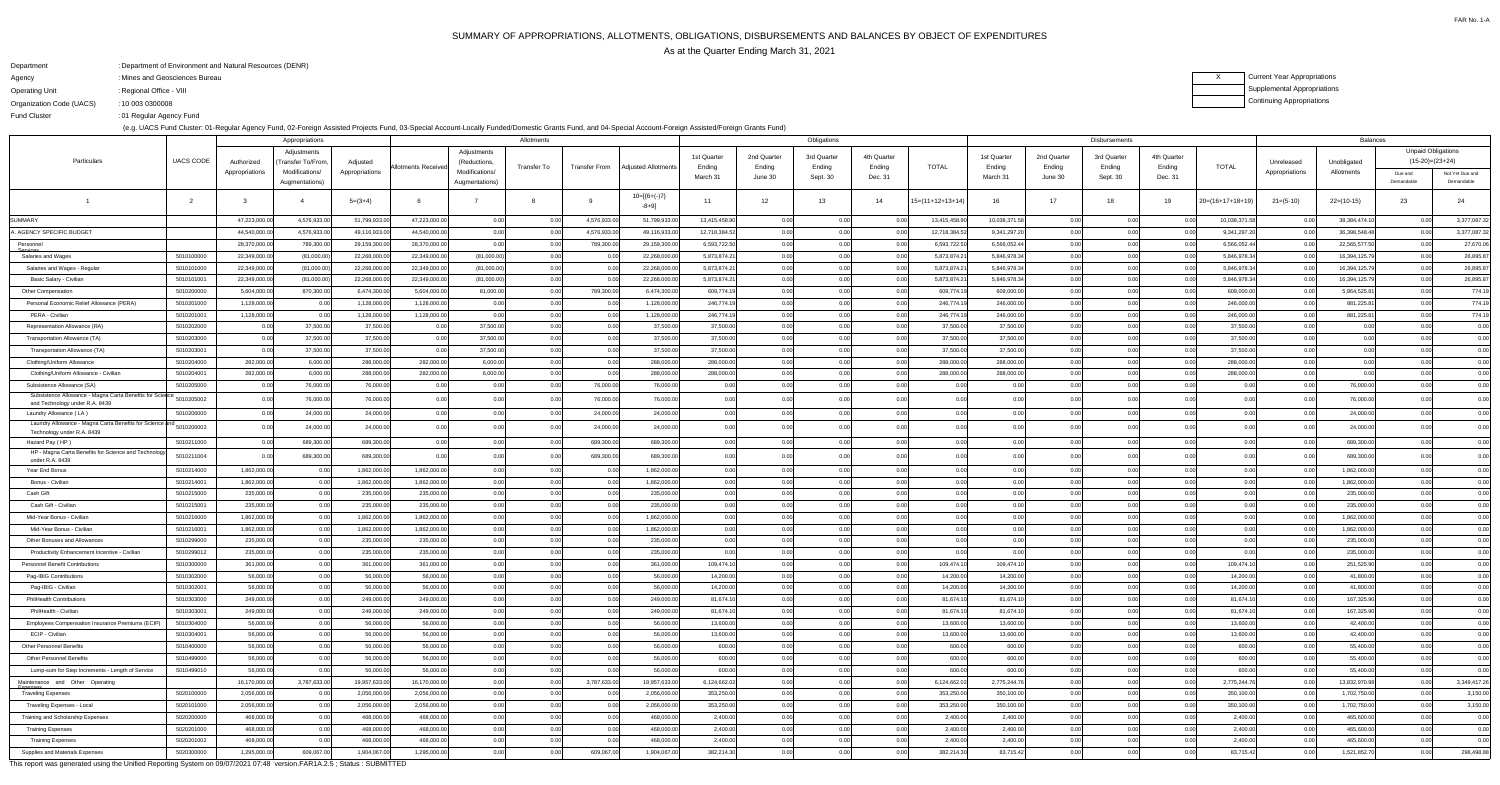# SUMMARY OF APPROPRIATIONS, ALLOTMENTS, OBLIGATIONS, DISBURSEMENTS AND BALANCES BY OBJECT OF EXPENDITURESAs at the Quarter Ending March 31, 2021

FAR No. 1-A

## $X$ Current Year Appropriations Supplemental AppropriationsContinuing Appropriations

| Department               | : Department of Environment and Natural Resources (DENR) |
|--------------------------|----------------------------------------------------------|
| Agency                   | : Mines and Geosciences Bureau                           |
| <b>Operating Unit</b>    | : Regional Office - VIII                                 |
| Organization Code (UACS) | : 10 003 0300008                                         |
| <b>Fund Cluster</b>      | :01 Regular Agency Fund                                  |

(e.g. UACS Fund Cluster: 01-Regular Agency Fund, 02-Foreign Assisted Projects Fund, 03-Special Account-Locally Funded/Domestic Grants Fund, and 04-Special Account-Foreign Assisted/Foreign Grants Fund)

|                                                                                    |                  |                | Appropriations     |                | Allotments         |                |             |                      |                         |               | Obligations |             |             |                    | Disbursements |             |             |             |                    |                | <b>Balances</b> |                           |                 |  |
|------------------------------------------------------------------------------------|------------------|----------------|--------------------|----------------|--------------------|----------------|-------------|----------------------|-------------------------|---------------|-------------|-------------|-------------|--------------------|---------------|-------------|-------------|-------------|--------------------|----------------|-----------------|---------------------------|-----------------|--|
|                                                                                    |                  |                | Adjustments        |                |                    | Adjustments    |             |                      |                         | 1st Quarter   | 2nd Quarter | 3rd Quarter | 4th Quarter |                    | 1st Quarter   | 2nd Quarter | 3rd Quarter | 4th Quarter |                    |                |                 | <b>Unpaid Obligations</b> |                 |  |
| Particulars                                                                        | <b>UACS CODE</b> | Authorized     | (Transfer To/From, | Adjusted       | Allotments Receive | (Reductions    | Transfer To | <b>Transfer From</b> | Adjusted Allotments     | Ending        | Ending      | Ending      | Ending      | <b>TOTAL</b>       | Ending        | Ending      | Ending      | Ending      | <b>TOTAL</b>       | Unreleased     | Unobligated     | $(15-20)=(23+24)$         |                 |  |
|                                                                                    |                  | Appropriations | Modifications/     | Appropriations |                    | Modifications/ |             |                      |                         | March 31      | June 30     | Sept. 30    | Dec. 31     |                    | March 31      | June 30     | Sept. 30    | Dec. 31     |                    | Appropriations | Allotments      | Due and                   | Not Yet Due and |  |
|                                                                                    |                  |                | Augmentations)     |                |                    | Augmentations) |             |                      |                         |               |             |             |             |                    |               |             |             |             |                    |                |                 | Demandable                | Demandable      |  |
|                                                                                    |                  |                |                    | $5=(3+4)$      |                    |                |             |                      | $10=[(6+(-)7)$<br>-8+9] | 11            | 12          | 13          | 14          | $15=(11+12+13+14)$ | 16            | 17          | -18         | 19          | $20=(16+17+18+19)$ | $21=(5-10)$    | $22=(10-15)$    | 23                        | 24              |  |
| <b>SUMMARY</b>                                                                     |                  | 47,223,000.0   | 4,576,933.00       | 51,799,933.00  | 47,223,000.00      | 0.00           | 0.00        | 4,576,933.0          | 51,799,933.0            | 13,415,458.90 | 0.00        | 0.00        |             | 13,415,458.90      | 10,038,371.58 | 0.00        | 0.00        | 0.00        | 10,038,371.58      | 0.00           | 38,384,474.10   | 0.00                      | 3,377,087.32    |  |
| <b>A. AGENCY SPECIFIC BUDGET</b>                                                   |                  | 44,540,000.00  | 4,576,933.00       | 49,116,933.00  | 44,540,000.00      | 0.00           |             | 4,576,933.0          | 49,116,933.00           | 12,718,384.52 | 0.00        | 0.00        |             | 12,718,384.52      | 9,341,297.20  | 0.00        | 0.00        | 0.00        | 9,341,297.20       | 0.0            | 36,398,548.48   | 0.00                      | 3,377,087.32    |  |
| Personnel                                                                          |                  | 28,370,000.0   | 789,300.00         | 29,159,300.00  | 28,370,000.00      | 0.00           |             | 789,300.0            | 29,159,300.00           | 6,593,722.50  | 0.00        | 0.00        |             | 6,593,722.50       | 6,566,052.44  | 0.00        | 0.00        | _0.00       | 6,566,052.44       |                | 22,565,577.50   | 0.0(                      | 27,670.06       |  |
| Salaries and Wages                                                                 | 5010100000       | 22,349,000.00  | (81,000.00)        | 22,268,000.00  | 22,349,000.00      | (81,000.00)    |             |                      | 22,268,000.00           | 5,873,874.21  | 0.00        | 0.00        |             | 5,873,874.2        | 5,846,978.34  | 0.00        | 0.00        | 0.00        | 5,846,978.34       |                | 16,394,125.79   | 0.0(                      | 26,895.87       |  |
| Salaries and Wages - Regular                                                       | 5010101000       | 22,349,000.0   | (81,000.00)        | 22,268,000.00  | 22,349,000.00      | (81,000.00)    | 0.00        |                      | 22,268,000.00           | 5,873,874.21  | 0.00        | 0.00        |             | 5,873,874.2        | 5,846,978.34  | 0.00        | 0.00        | 0.00        | 5,846,978.34       | . O O          | 16,394,125.79   | 0.0(                      | 26,895.87       |  |
| Basic Salary - Civilian                                                            | 5010101001       | 22,349,000.00  | (81,000.00)        | 22,268,000.00  | 22,349,000.00      | (81,000.00)    | 0.00        |                      | 22,268,000.00           | 5,873,874.21  | 0.00        | 0.00        |             | 5,873,874.2        | 5,846,978.34  | 0.00        | 0.00        | 0.00        | 5,846,978.34       | 0.0            | 16,394,125.79   | 0.0(                      | 26,895.87       |  |
| Other Compensation                                                                 | 5010200000       | 5,604,000.0    | 870,300.00         | 6,474,300.00   | 5,604,000.00       | 81,000.00      |             | 789,300.00           | 6,474,300.00            | 609,774.19    | 0.00        | 0.00        |             | 609,774.1          | 609,000.00    | 0.00        | 0.00        | _0.00       | 609,000.00         | . റ റ          | 5,864,525.81    |                           | 774.19          |  |
| Personal Economic Relief Allowance (PERA)                                          | 5010201000       | 1,128,000.00   | 0.00               | 1,128,000.00   | 1,128,000.00       | 0.00           |             |                      | 1,128,000.00            | 246,774.19    | 0.00        | 0.00        |             | 246,774.19         | 246,000.00    | 0.00        | 0.00        | 0.00        | 246,000.00         |                | 881,225.81      |                           | 774.19          |  |
| PERA - Civilian                                                                    | 5010201001       | 1,128,000.00   | 0.O                | 1,128,000.00   | 1,128,000.00       | 0.00           | 0.00        |                      | 1,128,000.00            | 246,774.19    | 0.00        | 0.00        |             | 246,774.1          | 246,000.00    | 0.00        | 0.00        | 0.O         | 246,000.00         | . O O          | 881,225.81      |                           | 774.19          |  |
| Representation Allowance (RA)                                                      | 5010202000       |                | 37,500.00          | 37,500.00      | 0.00               | 37,500.00      | 0.00        |                      | 37,500.00               | 37,500.00     | 0.00        | 0.00        |             | 37,500.00          | 37,500.00     | 0.00        | 0.00        | 0.00        | 37,500.00          | 0.00           |                 |                           | 0.00            |  |
| Transportation Allowance (TA)                                                      | 5010203000       | n no           | 37,500.00          | 37,500.00      |                    | 37,500.00      | 0.00        |                      | 37,500.00               | 37,500.00     |             | n ool       |             | 37,500.00          | 37,500.00     | 0.00        | 0.00        | _0.00       | 37,500.00          | 0.00           |                 |                           | 0.00            |  |
| Transportation Allowance (TA)                                                      | 5010203001       | 0 <sup>0</sup> | 37,500.00          | 37,500.00      | 0.00               | 37,500.00      | 0.00        |                      | 37,500.00               | 37,500.00     |             | 0.00        |             | 37,500.00          | 37,500.00     | 0.00        | 0.00        | 0.00        | 37,500.00          | 0.00           | 0.00            |                           | 0.00            |  |
| Clothing/Uniform Allowance                                                         | 5010204000       | 282,000.00     | 6,000.00           | 288,000.00     | 282,000.00         | 6,000.00       |             |                      | 288,000.00              | 288,000.00    |             |             |             | 288,000.0          | 288,000.00    | 0.00        |             |             | 288,000.00         | 0.00           |                 |                           | 0.00            |  |
| Clothing/Uniform Allowance - Civilian                                              | 5010204001       | 282,000.00     | 6,000.00           | 288,000.00     | 282,000.00         | 6,000.00       |             |                      | 288,000.00              | 288,000.00    |             | 0.00        |             | 288,000.00         | 288,000.00    | 000         | 0.00        |             | 288,000.00         | 0.00           | 0.00            |                           | 0.00            |  |
| Subsistence Allowance (SA)                                                         | 5010205000       |                | 76,000.0           | 76,000.00      |                    | 0.00           |             | 76,000.0             | 76,000.00               | 0.00          |             |             |             |                    |               |             |             |             | 0.0                |                | 76,000.00       |                           | 0.00            |  |
| Subsistence Allowance - Magna Carta Benefits for Science                           | 5010205002       |                | 76,000.0           | 76,000.00      |                    |                |             | 76,000.0             | 76,000.00               | 0.00          |             |             |             |                    |               |             |             |             |                    |                | 76,000.00       |                           | 0.00            |  |
| and Technology under R.A. 8439                                                     |                  |                |                    |                |                    |                |             |                      |                         |               |             |             |             |                    |               |             |             |             |                    |                |                 |                           |                 |  |
| Laundry Allowance (LA)<br>Laundry Allowance - Magna Carta Benefits for Science and | 5010206000       |                | 24,000.0           | 24,000.00      |                    |                |             | 24,000.0             | 24,000.00               | 0.00          |             |             |             |                    |               |             |             |             |                    |                | 24,000.00       |                           | 0.00            |  |
| Technology under R.A. 8439                                                         | 5010206003       |                | 24,000.0           | 24,000.00      |                    |                |             | 24,000.00            | 24,000.00               | 0.00          |             |             |             |                    |               |             |             |             |                    |                | 24,000.00       |                           | 0.00            |  |
| Hazard Pay (HP                                                                     | 5010211000       |                | 689,300.0          | 689,300.00     |                    |                |             | 689,300.0            | 689,300.00              | 0.00          |             |             |             |                    |               |             | 0.00        |             |                    |                | 689,300.00      |                           | 0.00            |  |
| HP - Magna Carta Benefits for Science and Technology<br>under R.A. 8439            | 5010211004       |                | 689,300.0          | 689,300.00     |                    |                |             | 689,300.00           | 689,300.00              | 0.00          |             |             |             |                    |               |             |             |             |                    |                | 689,300.00      |                           | 0.00            |  |
| Year End Bonus                                                                     | 5010214000       | 1,862,000.0    |                    | 1,862,000.00   | 1,862,000.00       | 0.00           |             |                      | 1,862,000.00            | 0.00          |             |             |             |                    |               |             |             |             |                    |                | 1,862,000.00    |                           | 0.00            |  |
| Bonus - Civilian                                                                   | 5010214001       | 1,862,000.00   | 0.00               | 1,862,000.00   | 1,862,000.00       | 0.00           | 0.00        |                      | 1,862,000.00            | 0.00          |             | 0.00        | 0.00        | 0.00               |               |             |             | 0.00        |                    |                | 1,862,000.00    |                           | ገ በበ            |  |
| Cash Gift                                                                          | 5010215000       | 235,000.00     | 0.00               | 235,000.00     | 235,000.00         | 0.00           | 0.00        |                      | 235,000.00              | 0.00          | 0.00        | 0.00        | 0.00        | 0.00               |               | 0.00        | 0.00        | 0.00        | 0.00               |                | 235,000.00      | 0.00                      | 0.00            |  |
| Cash Gift - Civilian                                                               | 5010215001       | 235,000.00     | 0.00               | 235,000.00     | 235,000.00         | 0.00           | 0.00        |                      | 235,000.00              | 0.00          | 0.00        | 0.00        | 0.00        | 0.00               |               | 0.00        | 0.00        | 0.00        | 0.00               |                | 235,000.00      |                           | 0.00            |  |
| Mid-Year Bonus - Civilian                                                          | 5010216000       | 1,862,000.00   | 0.00               | 1,862,000.00   | 1,862,000.00       | 0.00           | 0.00        |                      | 1,862,000.00            | 0.00          | 0.00        | 0.00        | 0.00        | 0.00               |               | 0.00        | 0.00        | 0.00        | 0.00               | 0.0            | 1,862,000.00    |                           | 0.00            |  |
| Mid-Year Bonus - Civilian                                                          | 5010216001       | 1,862,000.00   | 0.00               | 1,862,000.00   | 1,862,000.00       | 0.00           | 0.00        |                      | 1,862,000.00            | 0.00          | 0.00        | 0.00        | 0.00        | 0.00               |               | 0.00        | 0.00        | 0.00        | 0.00               | 0.0            | 1,862,000.00    |                           | 0.00            |  |
| Other Bonuses and Allowances                                                       | 5010299000       | 235,000.00     | 0.00               | 235,000.00     | 235,000.00         | 0.00           | 0.00        |                      | 235,000.00              | 0.00          |             | 0.00        | 0.00        | 0.00               |               | 0.00        | 0.00        | 0.00        | 0.00               | 0.0            | 235,000.00      | 0.00                      | 0.00            |  |
| Productivity Enhancement Incentive - Civilian                                      | 5010299012       | 235,000.00     | 0.00               | 235,000.00     | 235,000.00         | 0.00           | 0.00        |                      | 235,000.00              | 0.00          | 0.00        | 0.00        | 0.00        | 0.00               |               | 0.00        | 0.00        | 0.00        | 0.00               | 0.00           | 235,000.00      |                           | 0.00            |  |
| <b>Personnel Benefit Contributions</b>                                             | 5010300000       | 361,000.00     | 0.00               | 361,000.00     | 361,000.00         | 0.00           | 0.00        | 0.00                 | 361,000.00              | 109,474.10    | 0.00        | 0.00        | 0.00        | 109,474.10         | 109,474.10    | 0.00        | 0.00        | 0.00        | 109,474.10         | 0.0            | 251,525.90      | 0.00                      | 0.00            |  |
| Pag-IBIG Contributions                                                             | 5010302000       | 56,000.00      | 0.00               | 56,000.00      | 56,000.00          | 0.00           | 0.00        |                      | 56,000.00               | 14,200.00     | 0.00        | 0.00        | 0.00        | 14,200.00          | 14,200.00     | 0.00        | 0.00        | 0.00        | 14,200.00          | 0.00           | 41,800.00       |                           | 0.00            |  |
| Pag-IBIG - Civilian                                                                | 5010302001       | 56,000.00      | 0.00               | 56,000.00      | 56,000.00          | 0.00           | 0.00        |                      | 56,000.00               | 14,200.00     | 0.00        | 0.00        | 0.00        | 14,200.00          | 14,200.00     | 0.00        | 0.00        | 0.00        | 14,200.00          | 0.00           | 41,800.00       | 0.00                      | 0.00            |  |
| <b>PhilHealth Contributions</b>                                                    | 5010303000       | 249,000.00     | 0.00               | 249,000.00     | 249,000.00         | 0.00           | 0.00        |                      | 249,000.00              | 81,674.10     | 0.00        | 0.00        | 0.00        | 81,674.10          | 81,674.10     | 0.00        | 0.00        | 0.00        | 81,674.10          | 0.00           | 167,325.90      |                           | 0.00            |  |
| PhilHealth - Civilian                                                              | 5010303001       | 249,000.00     | 0.00               | 249,000.00     | 249,000.00         | 0.00           | 0.00        | 0.00                 | 249,000.00              | 81,674.10     | 0.00        | 0.00        | 0.00        | 81,674.10          | 81,674.10     | 0.00        | 0.00        | 0.00        | 81,674.10          | 0.00           | 167,325.90      | 0.00                      | 0.00            |  |
| Employees Compensation Insurance Premiums (ECIP)                                   | 5010304000       | 56,000.00      | 0.00               | 56,000.00      | 56,000.00          | 0.00           | 0.00        |                      | 56,000.00               | 13,600.00     | 0.00        | 0.00        | 0.00        | 13,600.00          | 13,600.00     | 0.00        | 0.00        | 0.00        | 13,600.00          | 0.00           | 42,400.00       |                           | 0.00            |  |
| ECIP - Civilian                                                                    | 5010304001       | 56,000.00      | 0.00               | 56,000.00      | 56,000.00          | 0.00           | 0.00        |                      | 56,000.00               | 13,600.00     | 0.00        | 0.00        | 0.00        | 13,600.00          | 13,600.00     | 0.00        | 0.00        | 0.00        | 13,600.00          | 0.00           | 42,400.00       | 0.00                      | 0.00            |  |
| <b>Other Personnel Benefits</b>                                                    | 5010400000       | 56,000.00      | 0.00               | 56,000.00      | 56,000.00          | 0.00           | 0.00        |                      | 56,000.00               | 600.00        | 0.00        | 0.00        | 0.00        | 600.00             | 600.00        | 0.00        | 0.00        | 0.00        | 600.00             | 0.00           | 55,400.00       |                           | 0.00            |  |
| <b>Other Personnel Benefits</b>                                                    | 5010499000       | 56,000.00      | 0.00               | 56,000.00      | 56,000.00          | 0.00           | 0.00        |                      | 56,000.00               | 600.00        | 0.00        | 0.00        | 0.00        | 600.00             | 600.00        | 0.00        | 0.00        | 0.00        | 600.00             | 0.00           | 55,400.00       | 0.00                      | 0.00            |  |
| Lump-sum for Step Increments - Length of Service                                   | 5010499010       | 56,000.00      | 0.00               | 56,000.00      | 56,000.00          | 0.00           | 0.00        |                      | 56,000.00               | 600.00        | 0.00        | 0.00        | 0.00        | 600.00             | 600.00        | 0.00        | 0.00        | 0.00        | 600.00             | 0.00           | 55,400.00       | 0.00                      | 0.00            |  |
| Maintenance and Other Operating                                                    |                  | 16,170,000.00  | 3,787,633.00       | 19,957,633.00  | 16,170,000.00      | 0.00           | 0.00        | 3,787,633.00         | 19,957,633.00           | 6,124,662.02  | 0.00        | 0.00        |             | 6,124,662.02       | 2,775,244.76  | 0.00        | 0.00        | 0.00        | 2,775,244.76       | 0.00           | 13,832,970.98   | 0.00                      | 3,349,417.26    |  |
| <del>Expenses</del><br><b>Traveling Expenses</b>                                   | 5020100000       | 2,056,000.00   | 0.00               | 2,056,000.00   | 2,056,000.00       | 0.00           | 0.00        |                      | 2,056,000.00            | 353,250.00    | 0.00        | 0.00        | 0.00        | 353,250.00         | 350,100.00    | 0.00        | 0.00        | 0.00        | 350,100.00         | 0.00           | 1,702,750.00    | 0.0(                      | 3,150.00        |  |
| Traveling Expenses - Local                                                         | 5020101000       | 2,056,000.00   | 0.00               | 2,056,000.00   | 2,056,000.00       | 0.00           | 0.00        |                      | 2,056,000.00            | 353,250.00    | 0.00        | 0.00        | 0.00        | 353,250.00         | 350,100.00    | 0.00        | 0.00        | 0.00        | 350,100.00         | 0.0            | 1,702,750.00    | 0.00                      | 3,150.00        |  |
| Training and Scholarship Expenses                                                  | 5020200000       | 468,000.00     | 0.00               | 468,000.00     | 468,000.00         | 0.00           | 0.00        |                      | 468,000.00              | 2,400.00      | 0.00        | 0.00        | 0.00        | 2,400.00           | 2,400.00      | 0.00        | 0.00        | 0.00        | 2,400.00           | 0.00           | 465,600.00      |                           | 0.00            |  |
| <b>Training Expenses</b>                                                           | 5020201000       | 468,000.00     | 0.00               | 468,000.00     | 468,000.00         | 0.00           | 0.00        |                      | 468,000.00              | 2,400.00      | 0.00        | 0.00        | 0.00        | 2,400.00           | 2,400.00      | 0.00        | 0.00        | 0.00        | 2,400.00           | 0.0            | 465,600.00      |                           | 0.00            |  |
| <b>Training Expenses</b>                                                           | 5020201002       | 468,000.00     | 0.00               | 468,000.00     | 468,000.00         | 0.00           | 0.00        |                      | 468,000.00              | 2,400.00      |             | 0.00        |             | 2,400.00           | 2,400.00      | 0.00        | 0.00        | 0.00        | 2,400.00           | 0.00           | 465,600.00      |                           | 0.00            |  |
| Supplies and Materials Expenses                                                    | 5020300000       | 1,295,000.00   | 609,067.0          | 1,904,067.00   | 1,295,000.00       | 0.00           | 0.00        | 609,067.00           | 1,904,067.00            | 382,214.30    |             | 0.00        |             | 382,214.30         | 83,715.42     | 0.00        | 0.00        | 0.00        | 83,715.42          | 0.0            | 1,521,852.70    | 0.00                      | 298,498.88      |  |
|                                                                                    |                  |                |                    |                |                    |                |             |                      |                         |               |             |             |             |                    |               |             |             |             |                    |                |                 |                           |                 |  |

This report was generated using the Unified Reporting System on 09/07/2021 07:48 version.FAR1A.2.5 ; Status : SUBMITTED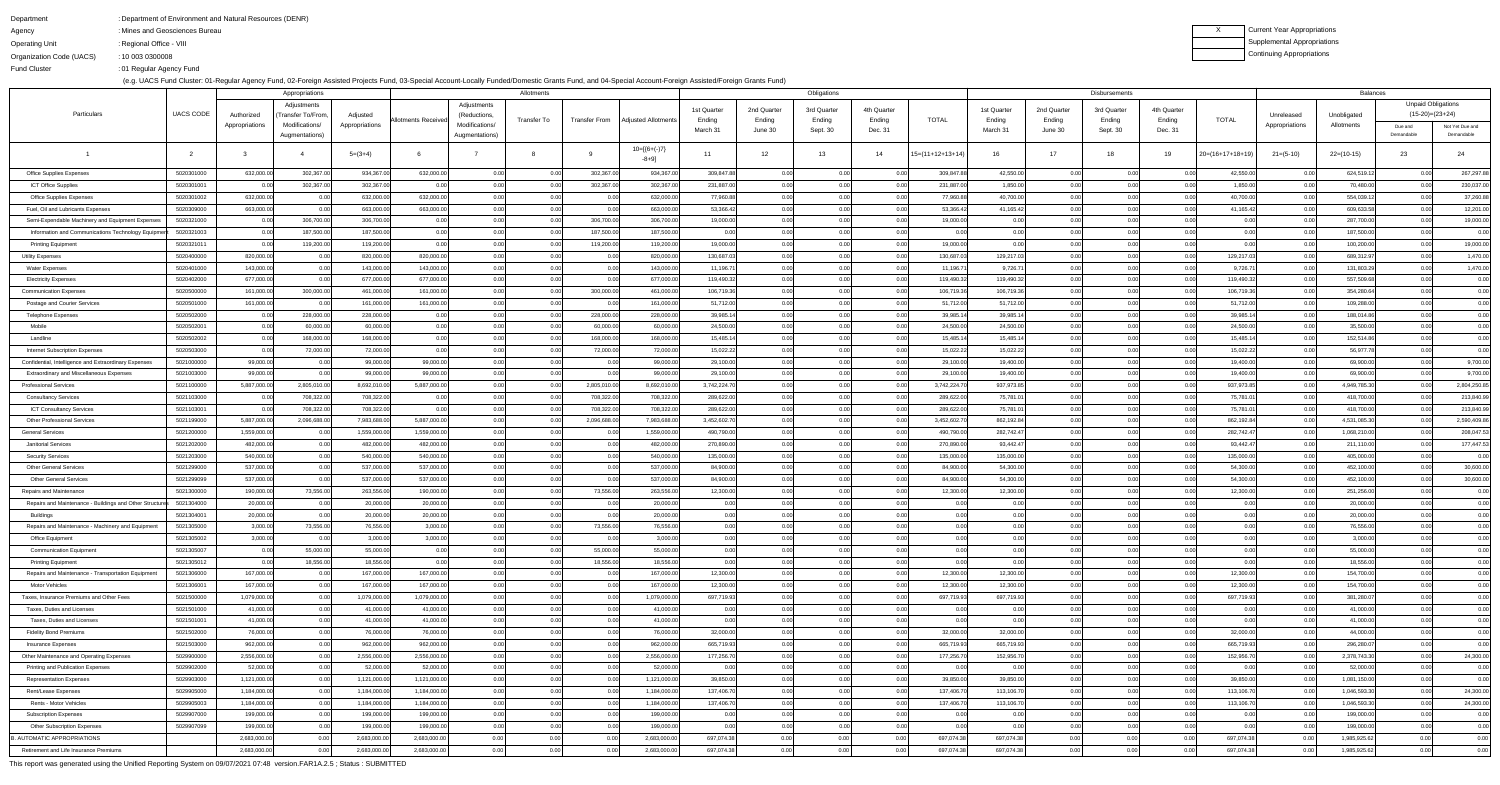Fund Cluster

### DepartmentAgencyOperating Unit Organization Code (UACS)Department of Environment and Natural Resources (DENR):: Mines and Geosciences Bureau : Regional Office - VIII 10 003 0300008:

01 Regular Agency Fund:

(e.g. UACS Fund Cluster: 01-Regular Agency Fund, 02-Foreign Assisted Projects Fund, 03-Special Account-Locally Funded/Domestic Grants Fund, and 04-Special Account-Foreign Assisted/Foreign Grants Fund)

XCurrent Year Appropriations Supplemental AppropriationsContinuing Appropriations

|                                                          |                          |                       | Appropriations                   |                      |                        |                                  | Allotments   |                      |                        |              |              | Obligations  |                           |                    |              |                           | <b>Disbursements</b> |              |                    |                | Balances               |                           |                               |
|----------------------------------------------------------|--------------------------|-----------------------|----------------------------------|----------------------|------------------------|----------------------------------|--------------|----------------------|------------------------|--------------|--------------|--------------|---------------------------|--------------------|--------------|---------------------------|----------------------|--------------|--------------------|----------------|------------------------|---------------------------|-------------------------------|
|                                                          |                          |                       | Adjustments                      |                      |                        | Adjustments                      |              |                      |                        | 1st Quarter  | 2nd Quarter  | 3rd Quarter  | 4th Quarter               |                    | 1st Quarter  | 2nd Quarter               | 3rd Quarter          | 4th Quarter  |                    |                |                        | <b>Unpaid Obligations</b> |                               |
| Particulars                                              | <b>UACS CODE</b>         | Authorized            | Transfer To/From                 | Adjusted             | Allotments Receiveo    | (Reductions,                     | Transfer To  | <b>Transfer From</b> | Adiusted Allotments    | Ending       | Ending       | Ending       | Ending                    | <b>TOTAL</b>       | Ending       | Ending                    | Ending               | Ending       | <b>TOTAL</b>       | Unreleased     | Unobligated            | $(15-20)=(23+24)$         |                               |
|                                                          |                          | Appropriations        | Modifications/<br>Augmentations) | Appropriations       |                        | Modifications/<br>Augmentations) |              |                      |                        | March 31     | June 30      | Sept. 30     | Dec. 31                   |                    | March 31     | June 30                   | Sept. 30             | Dec. 31      |                    | Appropriations | Allotments             | Due and<br>Demandable     | Not Yet Due and<br>Demandable |
|                                                          |                          |                       |                                  | $5=(3+4)$            |                        |                                  |              |                      | $10=[6+(-)7]$<br>-8+9] | 11           | 12           | 13           | 14                        | $15=(11+12+13+14)$ |              | 17                        | - 18                 | 19           | $20=(16+17+18+19)$ | $21=(5-10)$    | $22=(10-15)$           | 23                        | 24                            |
| <b>Office Supplies Expenses</b>                          | 5020301000               | 632,000.00            | 302,367.00                       | 934,367.0            | 632,000.00             | 0.00                             | 0.00         | 302,367.00           | 934,367.00             | 309,847.88   | 0.00         | 0.00         | 0.001                     | 309,847.88         | 42,550.00    | 0.00                      | 0.00                 | 0.00         | 42,550.00          | 0.00           | 624,519.12             | 0.00                      | 267,297.88                    |
| <b>ICT Office Supplies</b>                               | 5020301001               | 0.00                  | 302,367.00                       | 302,367.00           | 0.00                   | 0.00                             | 0.00         | 302,367.00           | 302,367.00             | 231,887.00   | 0.00         | 0.00         | 0. QQ                     | 231,887.00         | 1,850.00     |                           | 0.00                 | 0.00         | 1,850.00           | 0.00           | 70,480.00              | 0.00                      | 230,037.00                    |
| <b>Office Supplies Expenses</b>                          | 5020301002               | 632,000.00            | 0.00                             | 632,000.0            | 632,000.00             | 0.00                             | 0.00         | 0.00                 | 632,000.00             | 77,960.88    | 0.00         | 0.00         | 0.001                     | 77,960.88          | 40,700.00    | 0.001                     | 0.00                 | 0.00         | 40,700.00          | 0.00           | 554,039.12             | 0.00                      | 37,260.88                     |
| Fuel, Oil and Lubricants Expenses                        | 5020309000               | 663,000.00            |                                  | 663,000.0            | 663,000.00             | 0.00                             | 0.00         | 0.00                 | 663,000.00             | 53,366.42    | 0.00         | 0.00         | 0. QQ                     | 53,366.42          | 41,165.42    | n ool                     | 0.00                 | 0.00         | 41,165.42          | 0.00           | 609,633.58             | 0.00                      | 12,201.00                     |
| Semi-Expendable Machinery and Equipment Expenses         | 5020321000               | 0.00                  | 306,700.00                       | 306,700.00           | 0.00                   | 0.00                             | 0.00         | 306,700.00           | 306,700.00             | 19,000.00    | 0.00         | 0.00         | 0.001                     | 19,000.00          | 0.00         | 0.001                     | 0.00                 | 0.00         | 0.00               | 0.00           | 287,700.00             | 0.00                      | 19,000.00                     |
| Information and Communications Technology Equipmen       | 5020321003               | 0.00                  | 187,500.00                       | 187,500.00           | 0.00                   | 0.00                             | 0.00         | 187,500.00           | 187,500.00             | 0.00         | 0.00         | 0.00         | 0.001                     | 0.00               | 0.00         | n nr                      | 0.00                 | 0.00         | 0.00               | 0.00           | 187,500.00             | 0.00                      | 0.00                          |
| <b>Printing Equipment</b>                                | 5020321011               | 0.00                  | 119,200.00                       | 119,200.00           | 0.00                   | 0.00                             | 0.00         | 119,200.00           | 119,200.00             | 19,000.00    | 0.00         | 0.00         | 0.001                     | 19,000.00          | 0.00         | 0.001                     | 0.00                 | 0.00         | 0.00l              | 0.00           | 100,200.00             | 0.00                      | 19,000.00                     |
| <b>Utility Expenses</b>                                  | 5020400000               | 820,000.00            |                                  | 820,000.0            | 820,000.00             | 0.00                             | 0.00         | 0.00                 | 820,000.00             | 130,687.0    | 0.00         | 0.00         | 0. QQ                     | 130,687.0          | 129,217.03   | 0.001                     | 0.00                 | 0.00         | 129,217.03         | 0.00           | 689,312.97             | 0.00                      | 1,470.00                      |
| <b>Water Expenses</b>                                    | 5020401000               | 143,000.00            | 0.00                             | 143,000.0            | 143,000.00             | 0.00                             | 0.00         | 0.00                 | 143,000.00             | 11,196.71    | 0.00         | 0.00         | 0.001                     | 11,196.7           | 9,726.71     | 0.00                      | 0.00                 | 0.00         | 9,726.71           | 0.00           | 131,803.29             | 0.00                      | 1,470.00                      |
| <b>Electricity Expenses</b>                              | 5020402000               | 677,000.00            |                                  | 677,000.0            | 677,000.00             | 0.00                             | 0.00         | 0.00                 | 677,000.00             | 119,490.32   | 0.00         | 0.00         | 0.00                      | 119,490.32         | 119,490.32   | 0.001                     | 0.00                 | 0.00         | 119,490.32         | 0.00           | 557,509.68             | 0.00                      | 0.00                          |
| <b>Communication Expenses</b>                            | 5020500000               | 161,000.00            | 300,000.00                       | 461,000.0            | 161,000.00             | 0.00                             | 0.00         | 300,000.00           | 461,000.00             | 106,719.36   | 0.00         | 0.00         | 0.001                     | 106,719.36         | 106,719.36   | 0.00                      | 0.00                 | 0.00         | 106,719.36         | 0.00           | 354,280.64             | 0.00                      | 0.00                          |
| Postage and Courier Services                             | 5020501000               | 161,000.00            |                                  | 161,000.0            | 161,000.00             | 0.00                             | 0.00         | 0.00                 | 161,000.00             | 51,712.00    | 0.00         | 0.00         | 0. QQ                     | 51,712.00          | 51,712.00    | 0.001                     | 0.00                 | 0.00         | 51,712.00          | 0.00           | 109,288.00             | 0.00                      | 0.00                          |
| <b>Telephone Expenses</b>                                | 5020502000               | 0.00                  | 228,000.00                       | 228,000.00           | 0.00                   | 0.00                             | 0.00         | 228,000.00           | 228,000.00             | 39,985.14    | 0.00         | 0.00         | 0.001                     | 39,985.1           | 39,985.14    | 0.00                      | 0.00                 | 0.00         | 39,985.14          | 0.00           | 188,014.86             | 0.00                      | 0.00                          |
| Mobile                                                   | 5020502001               | 0.00                  | 60,000.00                        | 60,000.0             | 0.00                   | 0.00                             | 0.00         | 60,000.00            | 60,000.00              | 24,500.00    | 0.00         | 0.00         | 0.00                      | 24,500.00          | 24,500.00    | 0.001                     | 0.00                 | 0.00         | 24,500.00          | 0.00           | 35,500.00              | 0.00                      | 0.00                          |
| Landline                                                 | 5020502002               | 0.00                  | 168,000.00                       | 168,000.00           | 0.00                   | 0.00                             | 0.00         | 168,000.00           | 168,000.00             | 15,485.14    | 0.00         | 0.00         | 0.001                     | 15,485.1           | 15,485.14    | 0.00                      | 0.00                 | 0.00         | 15,485.14          | 0.00           | 152,514.86             | 0.00                      | 0.00                          |
| Internet Subscription Expenses                           | 5020503000               | 0.00                  | 72,000.00                        | 72,000.00            | 0.00                   | 0.00                             | 0.00         | 72,000.00            | 72,000.00              | 15,022.22    | 0.00         | 0.00         | 0. QQ                     | 15,022.22          | 15,022.22    | 0.001                     | 0.00                 | 0.00         | 15,022.22          | 0.00           | 56,977.78              | 0.00                      | 0.00                          |
| Confidential, Intelligence and Extraordinary Expenses    | 5021000000               | 99,000.00             |                                  | 99,000.0             | 99,000.00              | 0.00                             | 0.00         | 0.00                 | 99,000.00              | 29,100.00    | 0.00         | 0.00         | 0. QQ                     | 29,100.00          | 19,400.00    | 0.00                      | 0.00                 | 0.00         | 19,400.00          | 0.00           | 69,900.00              | 0.00                      | 9,700.00                      |
| <b>Extraordinary and Miscellaneous Expenses</b>          | 5021003000               | 99,000.00             | 0.00                             | 99,000.0             | 99,000.00              | 0.00                             | 0.00         | 0.00                 | 99,000.00              | 29,100.00    | 0.00         | 0.00         | 0.00 <sub>l</sub>         | 29,100.00          | 19,400.00    | 0.001                     | 0.00                 | 0.00         | 19,400.00          | 0.00           | 69,900.00              | 0.00                      | 9,700.00                      |
| <b>Professional Services</b>                             | 5021100000               | 5,887,000.00          | 2,805,010.0                      | 8,692,010.0          | 5,887,000.00           | 0.00                             | 0.00         | 2,805,010.00         | 8,692,010.00           | 3,742,224.70 | 0.00         | 0.00         |                           | 3,742,224.7        | 937,973.85   | 0.001                     | . വ                  | 0.00         | 937,973.85         | 0.0            | 4,949,785.30           | 0.00                      | 2,804,250.85                  |
| <b>Consultancy Services</b>                              | 5021103000               | 0.00                  | 708,322.00                       | 708,322.0            | 0.00                   | 0.00                             | 0.00         | 708,322.00           | 708,322.00             | 289,622.00   | 0.00         | 0.00         | በ በበ                      | 289,622.00         | 75,781.01    | 0.001                     | 0.00                 | 0.00         | 75,781.01          | 0.00           | 418,700.00             | 0.00                      | 213,840.99                    |
| <b>ICT Consultancy Services</b>                          | 5021103001               | 0.00                  | 708,322.0                        | 708,322.0            | 0.00                   | 0.00                             | 0.00         | 708,322.00           | 708,322.00             | 289,622.00   | 0.00         | 0.00         |                           | 289,622.00         | 75,781.01    | 0.00                      | 0.00                 | 0.00         | 75,781.01          | 0.00           | 418,700.00             | 0.00                      | 213,840.99                    |
| <b>Other Professional Services</b>                       | 5021199000               | 5,887,000.00          | 2,096,688.0                      | 7,983,688.0          | 5,887,000.00           | 0.00                             | 0.00         | 2,096,688.00         | 7,983,688.00           | 3,452,602.70 | 0.00         | 0.00         |                           | 3,452,602.70       | 862,192.84   | 0.001                     | 0.00                 | 0.00         | 862,192.84         | 0.00           | 4,531,085.30           | 0.00                      | 2,590,409.86                  |
| <b>General Services</b>                                  | 5021200000               | 1,559,000.00          |                                  | 1,559,000.0          | 1,559,000.00           | 0.00                             | 0.00         | n nn                 | 1,559,000.00           | 490,790.0    |              | 0.00         |                           | 490,790.00         | 282,742.47   |                           |                      | 0.O          | 282,742.47         |                | 1,068,210.00           | 0.00                      | 208,047.53                    |
| <b>Janitorial Services</b>                               | 5021202000               | 482,000.00            | 0.001                            | 482,000.00           | 482,000.00             | 0.00                             | 0.00         | 0.00                 | 482,000.00             | 270,890.00   | 0.00         | 0.00         | 0.00 <sub>l</sub>         | 270,890.00         | 93,442.47    | 0 <sub>0</sub>            | 0.00                 | 0.00         | 93,442.47          | 0.00           | 211,110.00             | 0.00                      | 177,447.53                    |
| <b>Security Services</b>                                 | 5021203000               | 540,000.00            | 0.00                             | 540,000.0            | 540,000.00             | 0.00                             | 0.00         | 0.00                 | 540,000.00             | 135,000.00   | 0.00         | 0.00         | 0.00 <sub>l</sub>         | 135,000.00         | 135,000.00   | 0.00l                     | 0.00                 | 0.00         | 135,000.00         | 0.00           | 405,000.00             | 0.00                      | 0.00                          |
| <b>Other General Services</b>                            | 5021299000               | 537,000.00            | 0.00                             | 537,000.0            | 537,000.00             | 0.00                             | 0.00         | 0.00                 | 537,000.00             | 84,900.00    | 0.00         | 0.00         | 0.00 <sub>l</sub>         | 84,900.00          | 54,300.00    | 0.00                      | 0.00                 | 0.00         | 54,300.00          | 0.00           | 452,100.00             | 0.00                      | 30,600.00                     |
| <b>Other General Services</b>                            | 5021299099               | 537,000.00            | 0.00                             | 537,000.0            | 537,000.00             | 0.00                             | 0.00         | 0.00                 | 537,000.00             | 84,900.00    | 0.00         | 0.00         | 0.00                      | 84,900.00          | 54,300.00    | 0.00                      | 0.00                 | 0.00         | 54,300.00          | 0.00           | 452,100.00             | 0.00                      | 30,600.00                     |
| Repairs and Maintenance                                  | 5021300000               | 190,000.00            | 73,556.00                        | 263,556.0            | 190,000.00             | 0.00                             | 0.00         | 73,556.00            | 263,556.00             | 12,300.00    | 0.00         | 0.00         | 0.00 <sub>l</sub>         | 12,300.00          | 12,300.00    | 0.00 <sub>l</sub>         | 0.00                 | 0.00         | 12,300.00          | 0.00           | 251,256.00             | 0.00                      | 0.00                          |
| Repairs and Maintenance - Buildings and Other Structures | 5021304000<br>5021304001 | 20,000.00             | 0.00<br>0.00                     | 20,000.0<br>20,000.0 | 20,000.00<br>20,000.00 | 0.00                             | 0.00<br>0.00 | 0.00<br>0.00         | 20,000.00<br>20,000.00 | 0.00<br>0.00 | 0.00<br>0.00 | 0.00         | 0.00 <sub>l</sub><br>0.00 | 0.00<br>0.00       | 0.00<br>0.00 | 0.00<br>0.00 <sub>l</sub> | 0.00<br>0.00         | 0.00         | 0.00<br>0.00       | 0.00<br>0.00   | 20,000.00<br>20,000.00 | 0.00                      | 0.00<br>0.00                  |
| Buildings                                                | 5021305000               | 20,000.00<br>3,000.00 | 73,556.00                        | 76,556.00            | 3,000.00               | 0.00<br>0.00                     | 0.00         | 73,556.00            | 76,556.00              | 0.00         | 0.00         | 0.00<br>0.00 | 0.00                      | 0.00               | 0.00         | 0.00                      | 0.00                 | 0.00<br>0.00 | 0.00               | 0.00           | 76,556.00              | 0.00<br>0.00              | 0.00                          |
| Repairs and Maintenance - Machinery and Equipment        | 5021305002               | 3,000.00              | 0.00                             | 3,000.0              | 3,000.00               | 0.00                             | 0.00         | 0.00                 | 3,000.00               | 0.00         | 0.00         | 0.00         | 0.00                      | 0.00               | 0.00         | 0.00                      | 0.00                 | 0.00         | 0.00               | 0.00           | 3,000.00               | 0.00                      | 0.00                          |
| Office Equipment<br><b>Communication Equipment</b>       | 5021305007               | 0.00                  | 55,000.00                        | 55,000.00            | 0.00                   | 0.00                             | 0.00         | 55,000.00            | 55,000.00              | 0.00         | 0.00         | 0.00         | 0.00 <sub>l</sub>         | 0.00               | 0.00         | 0.00                      | 0.00                 | 0.00         | 0.00               | 0.00           | 55,000.00              | 0.00                      | 0.00                          |
| <b>Printing Equipment</b>                                | 5021305012               | 0.00                  | 18,556.00                        | 18,556.00            | 0.00                   | 0.00                             | 0.00         | 18,556.00            | 18,556.00              | 0.00         | 0.00         | 0.00         | 0.00 <sub>l</sub>         | 0.00               | 0.00         | 0.00 <sub>l</sub>         | 0.00                 | 0.00         | 0.00               | 0.00           | 18,556.00              | 0.00                      | 0.00                          |
| Repairs and Maintenance - Transportation Equipment       | 5021306000               | 167,000.00            | 0.00                             | 167,000.0            | 167,000.00             | 0.00                             | 0.00         | 0.00                 | 167,000.00             | 12,300.00    | 0.00         | 0.00         | 0.00 <sub>l</sub>         | 12,300.00          | 12,300.00    | 0.00                      | 0.00                 | 0.00         | 12,300.00          | 0.00           | 154,700.00             | 0.00                      | 0.00                          |
| Motor Vehicles                                           | 5021306001               | 167,000.00            | 0.00                             | 167,000.0            | 167,000.00             | 0.00                             | 0.00         | 0.00                 | 167,000.00             | 12,300.00    | 0.00         | 0.00         | 0.00                      | 12,300.00          | 12,300.00    | 0.00                      | 0.00                 | 0.00         | 12,300.00          | 0.00           | 154,700.00             | 0.00                      | 0.00                          |
| Taxes, Insurance Premiums and Other Fees                 | 5021500000               | 1,079,000.00          | 0.00                             | 1,079,000.0          | 1,079,000.00           | 0.00                             | 0.00         | 0.00                 | 1,079,000.00           | 697,719.93   | 0.00         | 0.00         | 0.00 <sub>l</sub>         | 697,719.93         | 697,719.93   | 0.00                      | 0.00                 | 0.00         | 697,719.93         | 0.00           | 381,280.07             | 0.00                      | 0.00                          |
| Taxes, Duties and Licenses                               | 5021501000               | 41,000.00             | 0.00                             | 41,000.0             | 41,000.00              | 0.00                             | 0.00         | 0.00                 | 41,000.00              | 0.00         | 0.00         | 0.00         | 0.00 <sub>l</sub>         | 0.00               | 0.00         | 0.00l                     | 0.00                 | 0.00         | 0.00               | 0.00           | 41,000.00              | 0.00                      | 0.00                          |
| Taxes, Duties and Licenses                               | 5021501001               | 41,000.00             | 0.00                             | 41,000.0             | 41,000.00              | 0.00                             | 0.00         | 0.00                 | 41,000.00              | 0.00         | 0.00         | 0.00         | 0.00 <sub>l</sub>         | 0.00               | 0.00         | 0.00l                     | 0.00                 | 0.00         | 0.00               | 0.00           | 41,000.00              | 0.00                      | 0.00                          |
| <b>Fidelity Bond Premiums</b>                            | 5021502000               | 76,000.00             | 0.00                             | 76,000.0             | 76,000.00              | 0.00                             | 0.00         | 0.00                 | 76,000.00              | 32,000.00    | 0.00         | 0.00         | 0.00                      | 32,000.00          | 32,000.00    | 0.00l                     | 0.00                 | 0.00         | 32,000.00          | 0.00           | 44,000.00              | 0.00                      | 0.00                          |
| Insurance Expenses                                       | 5021503000               | 962,000.00            | 0.00                             | 962,000.0            | 962,000.00             | 0.00                             | 0.00         | 0.00                 | 962,000.00             | 665,719.93   | 0.00         | 0.00         | 0.00 <sub>l</sub>         | 665,719.93         | 665,719.93   | 0.00l                     | 0.00                 | 0.00         | 665,719.93         | 0.00           | 296,280.07             | 0.00                      | 0.00                          |
| Other Maintenance and Operating Expenses                 | 5029900000               | 2,556,000.00          | 0.00                             | 2,556,000.0          | 2,556,000.00           | 0.00                             | 0.00         | 0.00                 | 2,556,000.00           | 177,256.70   | 0.00         | 0.00         | 0.00                      | 177,256.7          | 152,956.70   | 0.00 <sub>l</sub>         | 0.00                 | 0.00         | 152,956.70         | 0.00           | 2,378,743.30           | 0.00                      | 24,300.00                     |
| Printing and Publication Expenses                        | 5029902000               | 52,000.00             | 0.00                             | 52,000.0             | 52,000.00              | 0.00                             | 0.00         | 0.00                 | 52,000.00              | 0.00         | 0.00         | 0.00         | 0.00                      | 0.00               | 0.00         | 0.00l                     | 0.00                 | 0.00         | 0.00               | 0.00           | 52,000.00              | 0.00                      | 0.00                          |
| <b>Representation Expenses</b>                           | 5029903000               | 1,121,000.00          | 0.00                             | 1,121,000.0          | 1,121,000.00           | 0.00                             | 0.00         | 0.00                 | 1,121,000.00           | 39.850.00    | 0.00         | 0.00         | 0.00 <sub>l</sub>         | 39,850.00          | 39,850.00    | 0.00 <sub>l</sub>         | 0.00                 | 0.00         | 39,850.00          | 0.00           | 1,081,150.00           | 0.00                      | 0.00                          |
| Rent/Lease Expenses                                      | 5029905000               | 1,184,000.00          |                                  | 1,184,000.0          | 1,184,000.00           | 0.00                             | 0.00         | 0.00                 | 1,184,000.00           | 137,406.70   | 0.00         | 0.00         | 0.00 <sub>l</sub>         | 137,406.7          | 113,106.70   | 0.00l                     | 0.00                 | 0.00         | 113,106.70         | 0.00           | 1,046,593.30           | 0.00                      | 24,300.00                     |
| Rents - Motor Vehicles                                   | 5029905003               | 1,184,000.00          | 0.00                             | 1,184,000.0          | 1,184,000.00           | 0.00                             | 0.00         | 0.00                 | 1,184,000.00           | 137,406.70   | 0.00         | 0.00         | 0.00                      | 137,406.7          | 113,106.70   | 0.00 <sub>l</sub>         | 0.00                 | 0.00         | 113,106.70         | 0.00           | 1,046,593.30           | 0.00                      | 24,300.00                     |
| <b>Subscription Expenses</b>                             | 5029907000               | 199,000.00            | 0.00                             | 199,000.0            | 199,000.00             | 0.00                             | 0.00         | 0.00                 | 199,000.00             | 0.00         | 0.00         | 0.00         | 0.00                      | 0.00               | 0.00         | 0.00l                     | 0.00                 | 0.00         | 0.00               | 0.00           | 199,000.00             | 0.00                      | 0.00                          |
| <b>Other Subscription Expenses</b>                       | 5029907099               | 199,000.00            | 0.00                             | 199,000.0            | 199,000.00             | 0.00                             | 0.00         | 0.00                 | 199,000.00             | 0.00         | 0.00         | 0.00         | 0.00 <sub>l</sub>         | 0.00               | 0.00         | 0.00l                     | 0.00                 | 0.00         | 0.00l              | 0.00           | 199,000.00             | 0.00                      | 0.00                          |
| AUTOMATIC APPROPRIATIONS                                 |                          | 2,683,000.00          | 0.00                             | 2,683,000.0          | 2,683,000.00           | 0.00                             | 0.00         | 0.00                 | 2,683,000.00           | 697,074.38   | 0.00         | 0.00         | 0.00                      | 697,074.38         | 697,074.38   | 0.00                      |                      | 0.00         | 697,074.38         | 0.00           | 1,985,925.62           | 0.00                      | 0.00                          |
| Retirement and Life Insurance Premiums                   |                          | 2,683,000.00          | 0.00                             | 2,683,000.0          | 2,683,000.00           | 0.00                             | 0.00         | 0.00                 | 2,683,000.00           | 697,074.38   | 0.00         | 0.00         | 0.00                      | 697,074.38         | 697,074.38   | 0.00                      | 0.00                 | 0.00         | 697,074.38         | 0.00           | 1,985,925.62           | 0.00                      | 0.00                          |

This report was generated using the Unified Reporting System on 09/07/2021 07:48 version.FAR1A.2.5 ; Status : SUBMITTED